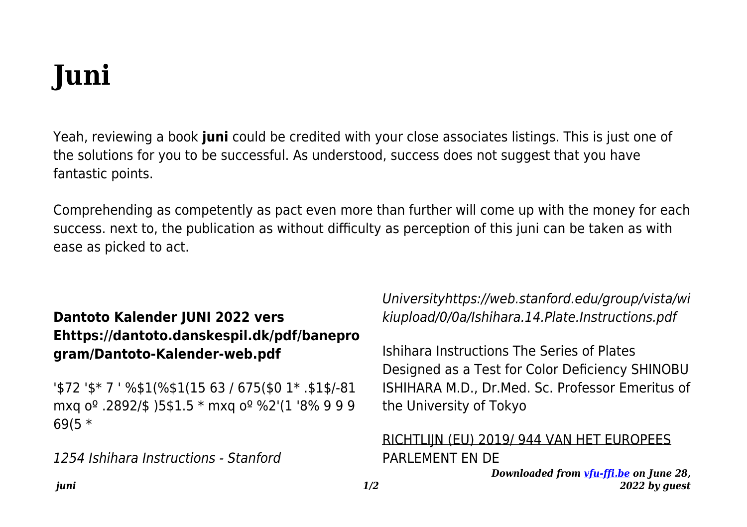## **Juni**

Yeah, reviewing a book **juni** could be credited with your close associates listings. This is just one of the solutions for you to be successful. As understood, success does not suggest that you have fantastic points.

Comprehending as competently as pact even more than further will come up with the money for each success. next to, the publication as without difficulty as perception of this juni can be taken as with ease as picked to act.

## **Dantoto Kalender JUNI 2022 vers Ehttps://dantoto.danskespil.dk/pdf/banepro gram/Dantoto-Kalender-web.pdf**

'\$72 '\$\* 7 ' %\$1(%\$1(15 63 / 675(\$0 1\* .\$1\$/-81 mxq oº .2892/\$ )5\$1.5 \* mxq oº %2'(1 '8% 9 9 9 69(5 \*

1254 Ishihara Instructions - Stanford

Universityhttps://web.stanford.edu/group/vista/wi kiupload/0/0a/Ishihara.14.Plate.Instructions.pdf

Ishihara Instructions The Series of Plates Designed as a Test for Color Deficiency SHINOBU ISHIHARA M.D., Dr.Med. Sc. Professor Emeritus of the University of Tokyo

## RICHTLIJN (EU) 2019/ 944 VAN HET EUROPEES PARLEMENT EN DE

*Downloaded from [vfu-ffi.be](https://vfu-ffi.be) on June 28, 2022 by guest*